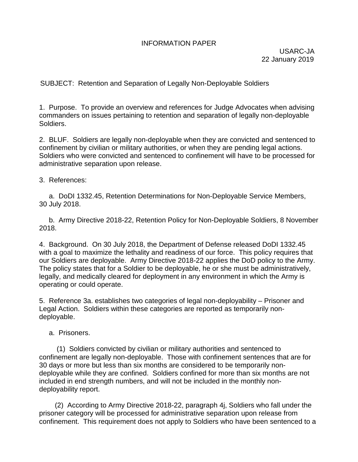## INFORMATION PAPER

USARC-JA 22 January 2019

SUBJECT: Retention and Separation of Legally Non-Deployable Soldiers

1. Purpose. To provide an overview and references for Judge Advocates when advising commanders on issues pertaining to retention and separation of legally non-deployable Soldiers.

2. BLUF. Soldiers are legally non-deployable when they are convicted and sentenced to confinement by civilian or military authorities, or when they are pending legal actions. Soldiers who were convicted and sentenced to confinement will have to be processed for administrative separation upon release.

3. References:

 a. DoDI 1332.45, Retention Determinations for Non-Deployable Service Members, 30 July 2018.

 b. Army Directive 2018-22, Retention Policy for Non-Deployable Soldiers, 8 November 2018.

4. Background. On 30 July 2018, the Department of Defense released DoDI 1332.45 with a goal to maximize the lethality and readiness of our force. This policy requires that our Soldiers are deployable. Army Directive 2018-22 applies the DoD policy to the Army. The policy states that for a Soldier to be deployable, he or she must be administratively, legally, and medically cleared for deployment in any environment in which the Army is operating or could operate.

5. Reference 3a. establishes two categories of legal non-deployability – Prisoner and Legal Action. Soldiers within these categories are reported as temporarily nondeployable.

a. Prisoners.

 (1) Soldiers convicted by civilian or military authorities and sentenced to confinement are legally non-deployable. Those with confinement sentences that are for 30 days or more but less than six months are considered to be temporarily nondeployable while they are confined. Soldiers confined for more than six months are not included in end strength numbers, and will not be included in the monthly nondeployability report.

(2) According to Army Directive 2018-22, paragraph 4j, Soldiers who fall under the prisoner category will be processed for administrative separation upon release from confinement. This requirement does not apply to Soldiers who have been sentenced to a